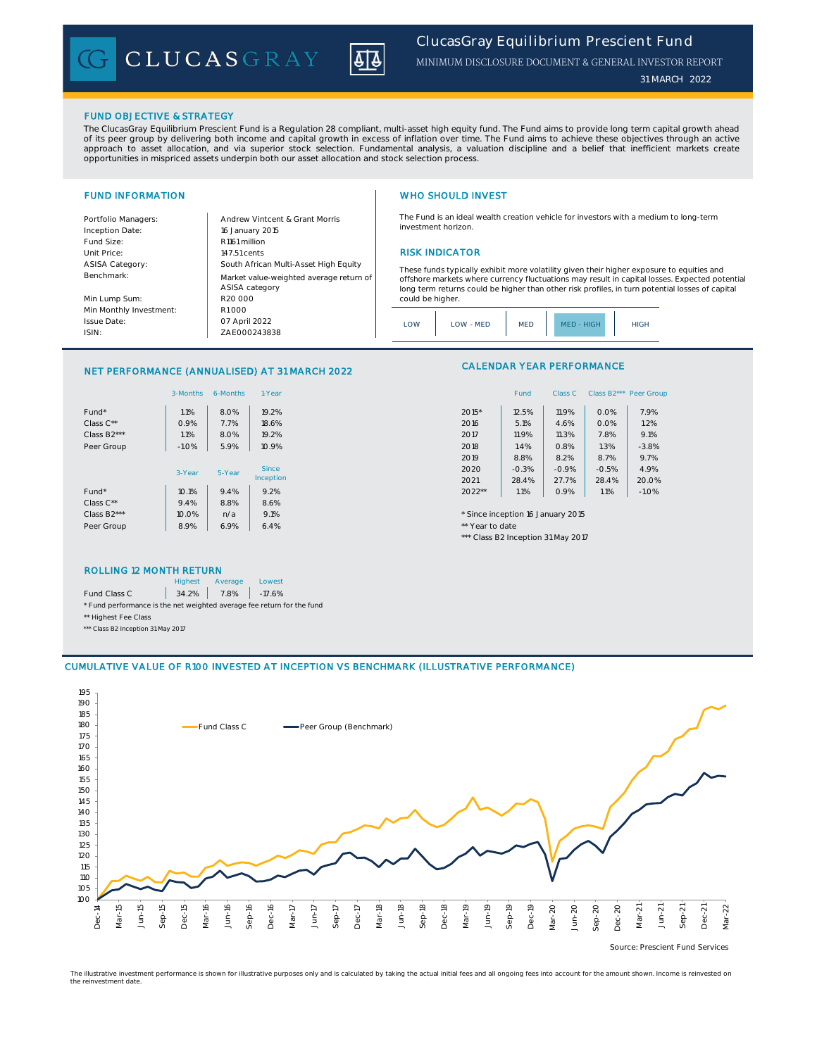CLUCASGRAY



MINIMUM DISCLOSURE DOCUMENT & GENERAL INVESTOR REPORT

*31 MARCH 2022*

# FUND OBJECTIVE & STRATEGY

The ClucasGray Equilibrium Prescient Fund is a Regulation 28 compliant, multi-asset high equity fund. The Fund aims to provide long term capital growth ahead of its peer group by delivering both income and capital growth in excess of inflation over time. The Fund aims to achieve these objectives through an active<br>approach to asset allocation, and via superior stock selection. F

Benchmark:

Issue Date: ISIN:

# FUND INFORMATION WHO SHOULD INVEST

Portfolio Managers: Andrew Vintcent & Grant Morris Inception Date: Fund Size: R1161 million Unit Price: 147.51 cents 147.51 cents 147.51 cents 2011 RISK INDICATOR ASISA Category: Min Lump Sum: Min Monthly Investment: South African Multi-Asset High Equity 16 January 2015 R20 000 Market value-weighted average return of ASISA category R1 000

The Fund is an ideal wealth creation vehicle for investors with a medium to long-term investment horizon.

These funds typically exhibit more volatility given their higher exposure to equities and offshore markets where currency fluctuations may result in capital losses. Expected potential long term returns could be higher than other risk profiles, in turn potential losses of capital could be higher.



# NET PERFORMANCE (ANNUALISED) AT 31 MARCH 2022

ZAE000243838

07 April 2022

|                   | 3-Months | 6-Months | 1-Year       | Class B2*** Peer Gro<br>Fund<br>Class C       |
|-------------------|----------|----------|--------------|-----------------------------------------------|
| Fund <sup>*</sup> | 1.1%     | 8.0%     | 19.2%        | 7.9%<br>$2015*$<br>0.0%<br>12.5%<br>11.9%     |
| Class $C^{**}$    | 0.9%     | 7.7%     | 18.6%        | 2016<br>5.1%<br>0.0%<br>1.2%<br>4.6%          |
| Class B2***       | 1.1%     | 8.0%     | 19.2%        | 2017<br>11.9%<br>11.3%<br>7.8%<br>9.1%        |
| Peer Group        | $-1.0%$  | 5.9%     | 10.9%        | 2018<br>1.3%<br>$-3.8%$<br>1.4%<br>0.8%       |
|                   |          |          |              | 8.8%<br>8.7%<br>9.7%<br>2019<br>8.2%          |
|                   | 3-Year   | 5-Year   | <b>Since</b> | 4.9%<br>2020<br>$-0.3%$<br>$-0.5%$<br>$-0.9%$ |
|                   |          |          | Inception    | 20.0%<br>28.4%<br>2021<br>28.4%<br>27.7%      |
| Fund <sup>*</sup> | 10.1%    | 9.4%     | 9.2%         | $2022**$<br>1.1%<br>1.1%<br>0.9%<br>$-1.0%$   |
| Class $C^{**}$    | 9.4%     | 8.8%     | 8.6%         |                                               |
| Class B2***       | 10.0%    | n/a      | 9.1%         | * Since inception 16 January 2015             |
| Peer Group        | 8.9%     | 6.9%     | 6.4%         | ** Year to date                               |
|                   |          |          |              |                                               |

## ROLLING 12 MONTH RETURN

|                                                                        | <b>Highest</b> | Average    | Lowest   |
|------------------------------------------------------------------------|----------------|------------|----------|
| Fund Class C                                                           |                | 34.2% 7.8% | $-17.6%$ |
| * Fund performance is the net weighted average fee return for the fund |                |            |          |
| ** Highest Fee Class                                                   |                |            |          |
| *** Class B2 Inception 31 May 2017                                     |                |            |          |

# CALENDAR YEAR PERFORMANCE

| 1-Year       |        | Fund    | Class C |         | Class B2*** Peer Group |
|--------------|--------|---------|---------|---------|------------------------|
| 19.2%        | 2015*  | 12.5%   | 11.9%   | 0.0%    | 7.9%                   |
| 18.6%        | 2016   | 5.1%    | 4.6%    | 0.0%    | 1.2%                   |
| 19.2%        | 2017   | 11.9%   | 11.3%   | 7.8%    | 9.1%                   |
| 10.9%        | 2018   | 1.4%    | 0.8%    | 1.3%    | $-3.8%$                |
|              | 2019   | 8.8%    | 8.2%    | 8.7%    | 9.7%                   |
| <b>Since</b> | 2020   | $-0.3%$ | $-0.9%$ | $-0.5%$ | 4.9%                   |
| ception      | 2021   | 28.4%   | 27.7%   | 28.4%   | 20.0%                  |
| 9.2%         | 2022** | 1.1%    | 0.9%    | 1.1%    | $-1.0%$                |

\*\*\* Class B2 Inception 31 May 2017



The illustrative investment performance is shown for illustrative purposes only and is calculated by taking the actual initial fees and all ongoing fees into account for the amount shown. Income is reinvested on the reinvestment date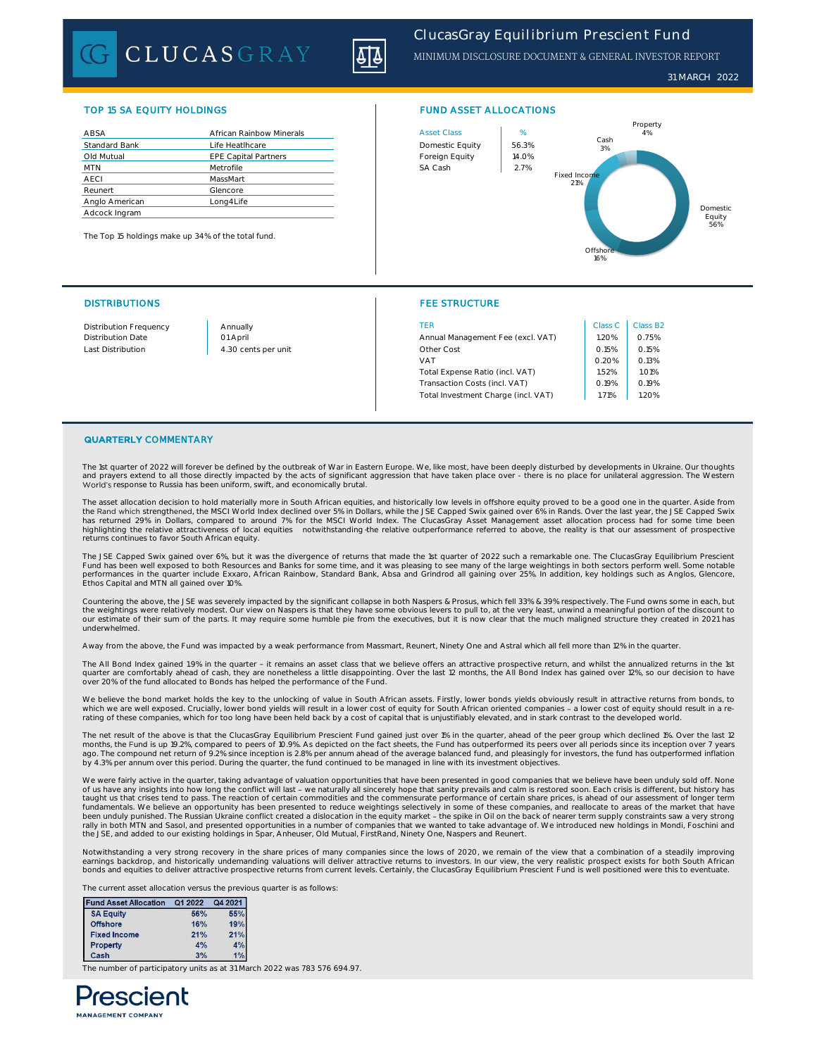CLUCASGRAY



*31 MARCH 2022*

| ABSA                 | African Rainbow Minerals    | <b>Asset Class</b> | %     |
|----------------------|-----------------------------|--------------------|-------|
| <b>Standard Bank</b> | Life Heatlhcare             | Domestic Equity    | 56.39 |
| Old Mutual           | <b>EPE Capital Partners</b> | Foreign Equity     | 14.09 |
| <b>MTN</b>           | Metrofile                   | SA Cash            | 2.7%  |
| <b>AECI</b>          | MassMart                    |                    |       |
| Reunert              | Glencore                    |                    |       |
| Anglo American       | Long4Life                   |                    |       |
| Adcock Ingram        |                             |                    |       |

The Top 15 holdings make up 34% of the total fund.

# TOP 15 SA EQUITY HOLDINGS FUND ASSET ALLOCATIONS



## DISTRIBUTIONS FEE STRUCTURE

| <b>Distribution Frequency</b> | Annually            | TFR                                 | Class C | Class B2 |
|-------------------------------|---------------------|-------------------------------------|---------|----------|
| <b>Distribution Date</b>      | 01 April            | Annual Management Fee (excl. VAT)   | .20%    | 0.75%    |
| Last Distribution             | 4.30 cents per unit | Other Cost                          | 0.15%   | 0.15%    |
|                               |                     | VAT                                 | 0.20%   | 0.13%    |
|                               |                     | Total Expense Ratio (incl. VAT)     | .52%    | 1.01%    |
|                               |                     | Transaction Costs (incl. VAT)       | 0.19%   | 0.19%    |
|                               |                     | Total Investment Charge (incl. VAT) | 71%     | .20%     |

## QUARTERLY COMMENTARY

The 1st quarter of 2022 will forever be defined by the outbreak of War in Eastern Europe. We, like most, have been deeply disturbed by developments in Ukraine. Our thoughts<br>and prayers extend to all those directly impacted World's response to Russia has been uniform, swift, and economically brutal

The asset allocation decision to hold materially more in South African equities, and historically low levels in offshore equity proved to be a good one in the quarter. Aside from<br>the Rand which strengthened, the MSCI World has returned 29% in Dollars, compared to around 7% for the MSCI World Index. The ClucasGray Asset Management asset allocation process had for some time been highlighting the relative attractiveness of local equities notwithstanding the relative outperformance referred to above, the reality is that our assessment of prospective returns continues to favor South African equity.

The JSE Capped Swix gained over 6%, but it was the divergence of returns that made the 1st quarter of 2022 such a remarkable one. The ClucasGray Equilibrium Prescient Fund has been well exposed to both Resources and Banks for some time, and it was pleasing to see many of the large weightings in both sectors perform well. Some notable<br>performances in the quarter include Exxaro, African R Ethos Capital and MTN all gained over 10%.

Countering the above, the JSE was severely impacted by the significant collapse in both Naspers & Prosus, which fell 33% & 39% respectively. The Fund owns some in each, but the weightings were relatively modest. Our view on Naspers is that they have some obvious levers to pull to, at the very least, unwind a meaningful portion of the discount to our estimate of their sum of the parts. It may require some humble pie from the executives, but it is now clear that the much maligned structure they created in 2021 has underwhelmed.

Away from the above, the Fund was impacted by a weak performance from Massmart, Reunert, Ninety One and Astral which all fell more than 12% in the quarter.

The All Bond Index gained 1.9% in the quarter - it remains an asset class that we believe offers an attractive prospective return, and whilst the annualized returns in the 1st<br>quarter are comfortably ahead of cash, they ar over 20% of the fund allocated to Bonds has helped the performance of the Fund.

We believe the bond market holds the key to the unlocking of value in South African assets. Firstly, lower bonds yields obviously result in attractive returns from bonds, to which we are well exposed. Crucially, lower bond yields will result in a lower cost of equity for South African oriented companies - a lower cost of equity should result in a re-<br>rating of these companies, which for too lo

The net result of the above is that the ClucasGray Equilibrium Prescient Fund gained just over 1% in the quarter, ahead of the peer group which declined 1%. Over the last 12<br>months, the Fund is up 19.2%, compared to peers by 4.3% per annum over this period. During the quarter, the fund continued to be managed in line with its investment objectives.

We were fairly active in the quarter, taking advantage of valuation opportunities that have been presented in good companies that we believe have been unduly sold off. None<br>of us have any insights into how long the conflic taught us that crises tend to pass. The reaction of certain commodities and the commensurate performance of certain share prices, is ahead of our assessment of longer term fundamentals. We believe an opportunity has been presented to reduce weightings selectively in some of these companies, and reallocate to areas of the market that have<br>been unduly punished. The Russian Ukraine conflict cre rally in both MTN and Sasol, and presented opportunities in a number of companies that we wanted to take advantage of. We introduced new holdings in Mondi, Foschini and<br>the JSE, and added to our existing holdings in Spar,

Notwithstanding a very strong recovery in the share prices of many companies since the lows of 2020, we remain of the view that a combination of a steadily improving earnings backdrop, and historically undemanding valuations will deliver attractive returns to investors. In our view, the very realistic prospect exists for both South African<br>bonds and equities to deliver attractive prosp

The current asset allocation versus the previous quarter is as follows:

| <b>Fund Asset Allocation</b> | Q1 2022 | Q4 2021 |  |
|------------------------------|---------|---------|--|
| <b>SA Equity</b>             | 56%     | 55%     |  |
| <b>Offshore</b>              | 16%     | 19%     |  |
| <b>Fixed Income</b>          | 21%     | 21%     |  |
| Property                     | 4%      | 4%      |  |
| Cash                         | 3%      | 1%      |  |

The number of participatory units as at 31 March 2022 was 783 576 694.97.